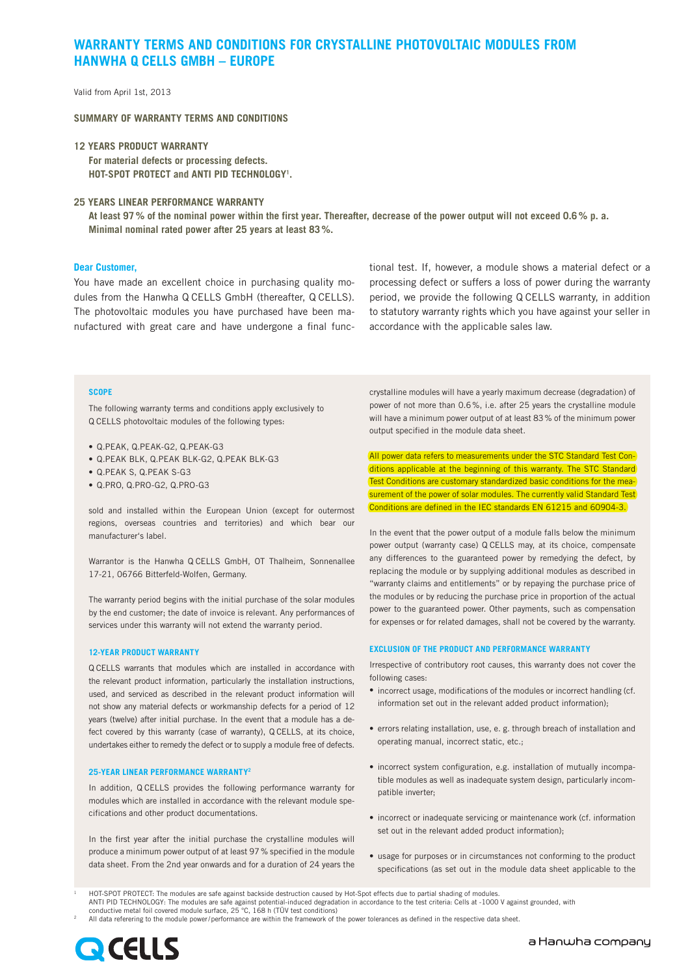# **WARRANTY TERMS AND CONDITIONS FOR CRYSTALLINE PHOTOVOLTAIC MODULES FROM HANWHA Q CELLS GMBH – EUROPE**

Valid from April 1st, 2013

**SUMMARY OF WARRANTY TERMS AND CONDITIONS**

**12 YEARS PRODUCT WARRANTY For material defects or processing defects. HOT-SPOT PROTECT and ANTI PID TECHNOLOGY1 .**

## **25 YEARS LINEAR PERFORMANCE WARRANTY**

**At least 97% of the nominal power within the first year. Thereafter, decrease of the power output will not exceed 0.6% p. a. Minimal nominal rated power after 25 years at least 83%.**

## **Dear Customer,**

You have made an excellent choice in purchasing quality modules from the Hanwha Q CELLS GmbH (thereafter, Q CELLS). The photovoltaic modules you have purchased have been manufactured with great care and have undergone a final functional test. If, however, a module shows a material defect or a processing defect or suffers a loss of power during the warranty period, we provide the following Q CELLS warranty, in addition to statutory warranty rights which you have against your seller in accordance with the applicable sales law.

#### **SCOPE**

The following warranty terms and conditions apply exclusively to Q CELLS photovoltaic modules of the following types:

- Q.PEAK, Q.PEAK-G2, Q.PEAK-G3
- • Q.PEAK BLK, Q.PEAK BLK-G2, Q.PEAK BLK-G3
- Q.PEAK S, Q.PEAK S-G3
- • Q.PRO, Q.PRO-G2, Q.PRO-G3

sold and installed within the European Union (except for outermost regions, overseas countries and territories) and which bear our manufacturer's label.

Warrantor is the Hanwha Q CELLS GmbH, OT Thalheim, Sonnenallee 17-21, 06766 Bitterfeld-Wolfen, Germany.

The warranty period begins with the initial purchase of the solar modules by the end customer; the date of invoice is relevant. Any performances of services under this warranty will not extend the warranty period.

#### **12-YEAR PRODUCT WARRANTY**

Q CELLS warrants that modules which are installed in accordance with the relevant product information, particularly the installation instructions, used, and serviced as described in the relevant product information will not show any material defects or workmanship defects for a period of 12 years (twelve) after initial purchase. In the event that a module has a defect covered by this warranty (case of warranty), Q CELLS, at its choice, undertakes either to remedy the defect or to supply a module free of defects.

### **25-YEAR LINEAR PERFORMANCE WARRANTY2**

In addition, Q CELLS provides the following performance warranty for modules which are installed in accordance with the relevant module specifications and other product documentations.

In the first year after the initial purchase the crystalline modules will produce a minimum power output of at least 97% specified in the module data sheet. From the 2nd year onwards and for a duration of 24 years the crystalline modules will have a yearly maximum decrease (degradation) of power of not more than 0.6%, i.e. after 25 years the crystalline module will have a minimum power output of at least 83% of the minimum power output specified in the module data sheet.

All power data refers to measurements under the STC Standard Test Conditions applicable at the beginning of this warranty. The STC Standard Test Conditions are customary standardized basic conditions for the measurement of the power of solar modules. The currently valid Standard Test Conditions are defined in the IEC standards EN 61215 and 60904-3.

In the event that the power output of a module falls below the minimum power output (warranty case) Q CELLS may, at its choice, compensate any differences to the guaranteed power by remedying the defect, by replacing the module or by supplying additional modules as described in "warranty claims and entitlements" or by repaying the purchase price of the modules or by reducing the purchase price in proportion of the actual power to the guaranteed power. Other payments, such as compensation for expenses or for related damages, shall not be covered by the warranty.

## **EXCLUSION OF THE PRODUCT AND PERFORMANCE WARRANTY**

Irrespective of contributory root causes, this warranty does not cover the following cases:

- incorrect usage, modifications of the modules or incorrect handling (cf. information set out in the relevant added product information);
- errors relating installation, use, e. g. through breach of installation and operating manual, incorrect static, etc.;
- incorrect system configuration, e.g. installation of mutually incompatible modules as well as inadequate system design, particularly incompatible inverter;
- incorrect or inadequate servicing or maintenance work (cf. information set out in the relevant added product information);
- usage for purposes or in circumstances not conforming to the product specifications (as set out in the module data sheet applicable to the

<sup>1</sup> HOT-SPOT PROTECT: The modules are safe against backside destruction caused by Hot-Spot effects due to partial shading of modules. ANTI PID TECHNOLOGY: The modules are safe against potential-induced degradation in accordance to the test criteria: Cells at -1000 V against grounded, with conductive metal foil covered module surface, 25 °C, 168 h (TÜV test conditions)

<sup>2</sup> All data referering to the module power/performance are within the framework of the power tolerances as defined in the respective data sheet.